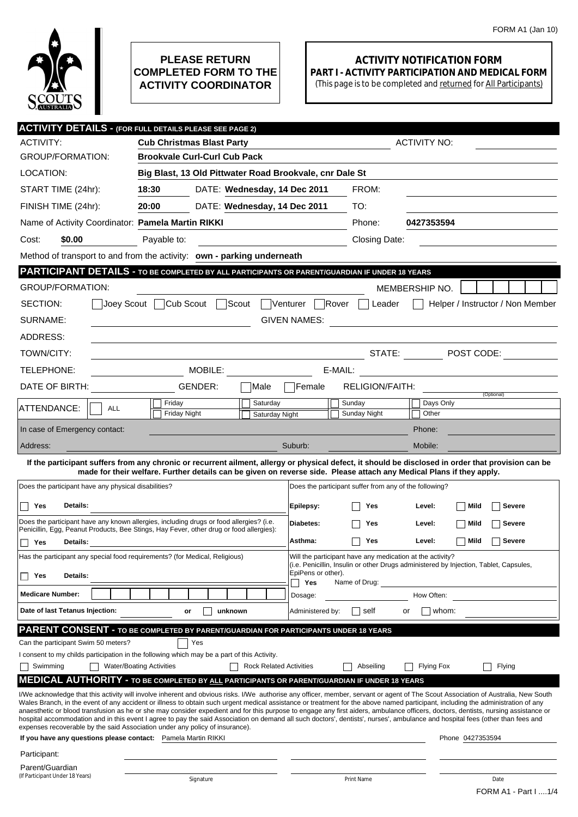

## **PLEASE RETURN COMPLETED FORM TO THE ACTIVITY COORDINATOR**

## **ACTIVITY NOTIFICATION FORM PART I - ACTIVITY PARTICIPATION AND MEDICAL FORM**

(This page is to be completed and returned for All Participants)

|                                                                                                                                                                                                                                                                             | <b>ACTIVITY DETAILS - (FOR FULL DETAILS PLEASE SEE PAGE 2)</b>                                                                                                                                                                                                                                                                                                         |                                                                                                                                                    |                                  |  |  |  |  |
|-----------------------------------------------------------------------------------------------------------------------------------------------------------------------------------------------------------------------------------------------------------------------------|------------------------------------------------------------------------------------------------------------------------------------------------------------------------------------------------------------------------------------------------------------------------------------------------------------------------------------------------------------------------|----------------------------------------------------------------------------------------------------------------------------------------------------|----------------------------------|--|--|--|--|
| ACTIVITY:                                                                                                                                                                                                                                                                   | <b>ACTIVITY NO:</b><br><b>Cub Christmas Blast Party</b>                                                                                                                                                                                                                                                                                                                |                                                                                                                                                    |                                  |  |  |  |  |
| <b>GROUP/FORMATION:</b>                                                                                                                                                                                                                                                     | <b>Brookvale Curl-Curl Cub Pack</b>                                                                                                                                                                                                                                                                                                                                    |                                                                                                                                                    |                                  |  |  |  |  |
| LOCATION:                                                                                                                                                                                                                                                                   | Big Blast, 13 Old Pittwater Road Brookvale, cnr Dale St                                                                                                                                                                                                                                                                                                                |                                                                                                                                                    |                                  |  |  |  |  |
| START TIME (24hr):                                                                                                                                                                                                                                                          | 18:30<br>DATE: Wednesday, 14 Dec 2011                                                                                                                                                                                                                                                                                                                                  | FROM:                                                                                                                                              |                                  |  |  |  |  |
| FINISH TIME (24hr):                                                                                                                                                                                                                                                         | 20:00<br>DATE: Wednesday, 14 Dec 2011                                                                                                                                                                                                                                                                                                                                  | TO:                                                                                                                                                |                                  |  |  |  |  |
| Name of Activity Coordinator: Pamela Martin RIKKI                                                                                                                                                                                                                           |                                                                                                                                                                                                                                                                                                                                                                        | Phone:                                                                                                                                             | 0427353594                       |  |  |  |  |
| \$0.00<br>Cost:                                                                                                                                                                                                                                                             | Payable to:                                                                                                                                                                                                                                                                                                                                                            | Closing Date:                                                                                                                                      |                                  |  |  |  |  |
|                                                                                                                                                                                                                                                                             | Method of transport to and from the activity: own - parking underneath                                                                                                                                                                                                                                                                                                 |                                                                                                                                                    |                                  |  |  |  |  |
| PARTICIPANT DETAILS - TO BE COMPLETED BY ALL PARTICIPANTS OR PARENT/GUARDIAN IF UNDER 18 YEARS                                                                                                                                                                              |                                                                                                                                                                                                                                                                                                                                                                        |                                                                                                                                                    |                                  |  |  |  |  |
| GROUP/FORMATION:                                                                                                                                                                                                                                                            |                                                                                                                                                                                                                                                                                                                                                                        |                                                                                                                                                    | MEMBERSHIP NO.                   |  |  |  |  |
| SECTION:<br> Joey Scout                                                                                                                                                                                                                                                     | Cub Scout<br>Scout                                                                                                                                                                                                                                                                                                                                                     | Venturer<br>  Rover<br>Leader                                                                                                                      | Helper / Instructor / Non Member |  |  |  |  |
| SURNAME:                                                                                                                                                                                                                                                                    |                                                                                                                                                                                                                                                                                                                                                                        | <b>GIVEN NAMES:</b>                                                                                                                                |                                  |  |  |  |  |
| ADDRESS:                                                                                                                                                                                                                                                                    |                                                                                                                                                                                                                                                                                                                                                                        |                                                                                                                                                    |                                  |  |  |  |  |
| TOWN/CITY:                                                                                                                                                                                                                                                                  |                                                                                                                                                                                                                                                                                                                                                                        | STATE:                                                                                                                                             | $\blacksquare$ POST CODE:        |  |  |  |  |
| TELEPHONE:                                                                                                                                                                                                                                                                  | MOBILE:                                                                                                                                                                                                                                                                                                                                                                | E-MAIL:                                                                                                                                            |                                  |  |  |  |  |
| DATE OF BIRTH:                                                                                                                                                                                                                                                              | GENDER:<br>Male                                                                                                                                                                                                                                                                                                                                                        | RELIGION/FAITH:<br><b>Temale</b>                                                                                                                   |                                  |  |  |  |  |
| ATTENDANCE:<br><b>ALL</b>                                                                                                                                                                                                                                                   | Saturday<br>Friday                                                                                                                                                                                                                                                                                                                                                     | Sunday                                                                                                                                             | (Optional)<br>Days Only          |  |  |  |  |
|                                                                                                                                                                                                                                                                             | <b>Friday Night</b><br>Saturday Night                                                                                                                                                                                                                                                                                                                                  | Sunday Night                                                                                                                                       | Other                            |  |  |  |  |
| In case of Emergency contact:                                                                                                                                                                                                                                               |                                                                                                                                                                                                                                                                                                                                                                        |                                                                                                                                                    | Phone:                           |  |  |  |  |
| Address:                                                                                                                                                                                                                                                                    |                                                                                                                                                                                                                                                                                                                                                                        | Suburb:                                                                                                                                            | Mobile:                          |  |  |  |  |
| If the participant suffers from any chronic or recurrent ailment, allergy or physical defect, it should be disclosed in order that provision can be<br>made for their welfare. Further details can be given on reverse side. Please attach any Medical Plans if they apply. |                                                                                                                                                                                                                                                                                                                                                                        |                                                                                                                                                    |                                  |  |  |  |  |
| Does the participant have any physical disabilities?                                                                                                                                                                                                                        |                                                                                                                                                                                                                                                                                                                                                                        | Does the participant suffer from any of the following?                                                                                             |                                  |  |  |  |  |
| Yes<br>Details:                                                                                                                                                                                                                                                             |                                                                                                                                                                                                                                                                                                                                                                        | Epilepsy:<br>Yes                                                                                                                                   | Mild<br><b>Severe</b><br>Level:  |  |  |  |  |
|                                                                                                                                                                                                                                                                             |                                                                                                                                                                                                                                                                                                                                                                        |                                                                                                                                                    |                                  |  |  |  |  |
| Does the participant have any known allergies, including drugs or food allergies? (i.e.<br>Diabetes:<br>Mild<br>Yes<br>Level:<br><b>Severe</b><br>Penicillin, Egg, Peanut Products, Bee Stings, Hay Fever, other drug or food allergies):                                   |                                                                                                                                                                                                                                                                                                                                                                        |                                                                                                                                                    |                                  |  |  |  |  |
| Yes<br>Details:                                                                                                                                                                                                                                                             |                                                                                                                                                                                                                                                                                                                                                                        | Asthma:<br>Yes                                                                                                                                     | Mild<br><b>Severe</b><br>Level:  |  |  |  |  |
|                                                                                                                                                                                                                                                                             | Has the participant any special food requirements? (for Medical, Religious)                                                                                                                                                                                                                                                                                            | Will the participant have any medication at the activity?<br>(i.e. Penicillin, Insulin or other Drugs administered by Injection, Tablet, Capsules, |                                  |  |  |  |  |
| Details:<br>Yes                                                                                                                                                                                                                                                             |                                                                                                                                                                                                                                                                                                                                                                        | EpiPens or other).<br>Yes<br>Name of Drug:                                                                                                         |                                  |  |  |  |  |
| <b>Medicare Number:</b>                                                                                                                                                                                                                                                     |                                                                                                                                                                                                                                                                                                                                                                        | Dosage:                                                                                                                                            | How Often:                       |  |  |  |  |
| Date of last Tetanus Injection:                                                                                                                                                                                                                                             | unknown<br>or                                                                                                                                                                                                                                                                                                                                                          | Administered by:<br>self<br>or                                                                                                                     | whom:                            |  |  |  |  |
| PARENT CONSENT - TO BE COMPLETED BY PARENT/GUARDIAN FOR PARTICIPANTS UNDER 18 YEARS                                                                                                                                                                                         |                                                                                                                                                                                                                                                                                                                                                                        |                                                                                                                                                    |                                  |  |  |  |  |
| Can the participant Swim 50 meters?<br>Yes                                                                                                                                                                                                                                  |                                                                                                                                                                                                                                                                                                                                                                        |                                                                                                                                                    |                                  |  |  |  |  |
| I consent to my childs participation in the following which may be a part of this Activity.<br><b>Rock Related Activities</b>                                                                                                                                               |                                                                                                                                                                                                                                                                                                                                                                        |                                                                                                                                                    |                                  |  |  |  |  |
| Swimming                                                                                                                                                                                                                                                                    | <b>Water/Boating Activities</b><br><b>MEDICAL AUTHORITY - TO BE COMPLETED BY ALL PARTICIPANTS OR PARENT/GUARDIAN IF UNDER 18 YEARS</b>                                                                                                                                                                                                                                 | Abseiling                                                                                                                                          | Flying<br><b>Flying Fox</b>      |  |  |  |  |
|                                                                                                                                                                                                                                                                             | I/We acknowledge that this activity will involve inherent and obvious risks. I/We authorise any officer, member, servant or agent of The Scout Association of Australia, New South                                                                                                                                                                                     |                                                                                                                                                    |                                  |  |  |  |  |
|                                                                                                                                                                                                                                                                             | Wales Branch, in the event of any accident or illness to obtain such urgent medical assistance or treatment for the above named participant, including the administration of any<br>anaesthetic or blood transfusion as he or she may consider expedient and for this purpose to engage any first aiders, ambulance officers, doctors, dentists, nursing assistance or |                                                                                                                                                    |                                  |  |  |  |  |
| hospital accommodation and in this event I agree to pay the said Association on demand all such doctors', dentists', nurses', ambulance and hospital fees (other than fees and<br>expenses recoverable by the said Association under any policy of insurance).              |                                                                                                                                                                                                                                                                                                                                                                        |                                                                                                                                                    |                                  |  |  |  |  |
| If you have any questions please contact: Pamela Martin RIKKI                                                                                                                                                                                                               |                                                                                                                                                                                                                                                                                                                                                                        |                                                                                                                                                    | Phone 0427353594                 |  |  |  |  |
| Participant:                                                                                                                                                                                                                                                                |                                                                                                                                                                                                                                                                                                                                                                        |                                                                                                                                                    |                                  |  |  |  |  |
| Parent/Guardian<br>(If Participant Under 18 Years)                                                                                                                                                                                                                          |                                                                                                                                                                                                                                                                                                                                                                        |                                                                                                                                                    |                                  |  |  |  |  |
|                                                                                                                                                                                                                                                                             | Signature                                                                                                                                                                                                                                                                                                                                                              | Print Name                                                                                                                                         | Date<br>FORM A1 - Part I  1/4    |  |  |  |  |